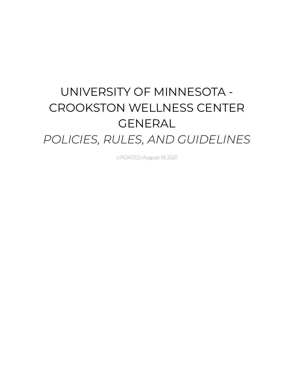# UNIVERSITY OF MINNESOTA - CROOKSTON WELLNESS CENTER GENERAL *POLICIES, RULES, AND GUIDELINES*

*UPDATED: August 19, 2021*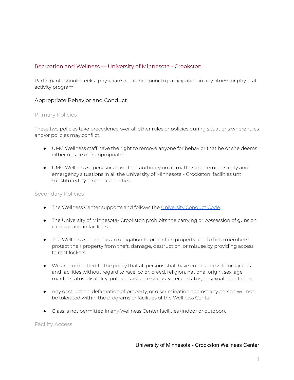## Recreation and Wellness — University of Minnesota - Crookston

Participants should seek a physician's clearance prior to participation in any fitness or physical activity program.

## Appropriate Behavior and Conduct

#### Primary Policies

These two policies take precedence over all other rules or policies during situations where rules and/or policies may conflict.

- UMC Wellness staff have the right to remove anyone for behavior that he or she deems either unsafe or inappropriate.
- UMC Wellness supervisors have final authority on all matters concerning safety and emergency situations in all the University of Minnesota - Crookston facilities until substituted by proper authorities.

#### Secondary Policies

- The Wellness Center supports and follows the [University](http://regents.umn.edu/sites/regents.umn.edu/files/policies/Student_Conduct_Code.pdf) Conduct Code.
- The University of Minnesota- Crookston prohibits the carrying or possession of guns on campus and in facilities.
- The Wellness Center has an obligation to protect its property and to help members protect their property from theft, damage, destruction, or misuse by providing access to rent lockers.
- We are committed to the policy that all persons shall have equal access to programs and facilities without regard to race, color, creed, religion, national origin, sex, age, marital status, disability, public assistance status, veteran status, or sexual orientation.
- Any destruction, defamation of property, or discrimination against any person will not be tolerated within the programs or facilities of the Wellness Center
- Glass is not permitted in any Wellness Center facilities (indoor or outdoor).

Facility Access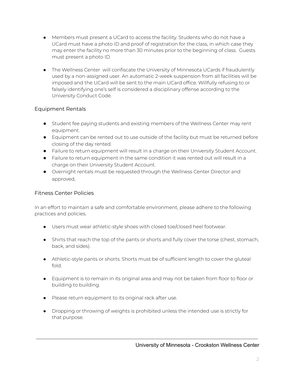- Members must present a UCard to access the facility. Students who do not have a UCard must have a photo ID and proof of registration for the class, in which case they may enter the facility no more than 30 minutes prior to the beginning of class. Guests must present a photo ID.
- The Wellness Center will confiscate the University of Minnesota UCards if fraudulently used by a non-assigned user. An automatic 2-week suspension from all facilities will be imposed and the UCard will be sent to the main UCard office. Willfully refusing to or falsely identifying one's self is considered a disciplinary offense according to the University Conduct Code.

# Equipment Rentals

- Student fee paying students and existing members of the Wellness Center may rent equipment.
- Equipment can be rented out to use outside of the facility but must be returned before closing of the day rented.
- Failure to return equipment will result in a charge on their University Student Account.
- Failure to return equipment in the same condition it was rented out will result in a charge on their University Student Account.
- Overnight rentals must be requested through the Wellness Center Director and approved.

# Fitness Center Policies

In an effort to maintain a safe and comfortable environment, please adhere to the following practices and policies.

- Users must wear athletic-style shoes with closed toe/closed heel footwear.
- Shirts that reach the top of the pants or shorts and fully cover the torse (chest, stomach, back, and sides).
- Athletic-style pants or shorts. Shorts must be of sufficient length to cover the gluteal fold.
- Equipment is to remain in its original area and may not be taken from floor to floor or building to building.
- Please return equipment to its original rack after use.
- Dropping or throwing of weights is prohibited unless the intended use is strictly for that purpose.